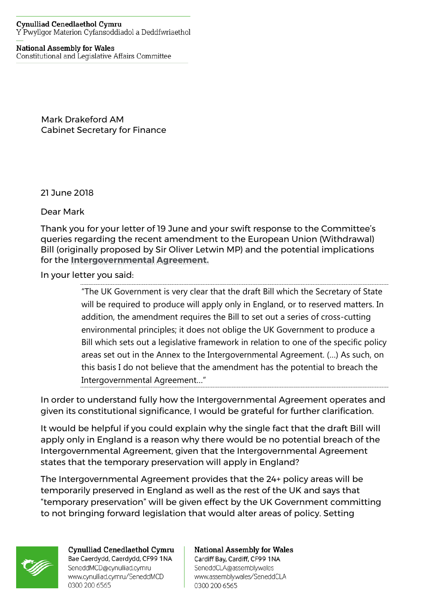## **Cynulliad Cenedlaethol Cymru** Y Pwyllgor Materion Cyfansoddiadol a Deddfwriaethol

## **National Assembly for Wales**

Constitutional and Legislative Affairs Committee

Mark Drakeford AM Cabinet Secretary for Finance

21 June 2018

Dear Mark

Thank you for your letter of 19 June and your swift response to the Committee's queries regarding the recent amendment to the European Union (Withdrawal) Bill (originally proposed by Sir Oliver Letwin MP) and the potential implications for the **[Intergovernmental Agreement.](https://assets.publishing.service.gov.uk/government/uploads/system/uploads/attachment_data/file/702623/2018-04-24_UKG-DA_IGA_and_Memorandum.pdf)**

In your letter you said:

"The UK Government is very clear that the draft Bill which the Secretary of State will be required to produce will apply only in England, or to reserved matters. In addition, the amendment requires the Bill to set out a series of cross-cutting environmental principles; it does not oblige the UK Government to produce a Bill which sets out a legislative framework in relation to one of the specific policy areas set out in the Annex to the Intergovernmental Agreement. (…) As such, on this basis I do not believe that the amendment has the potential to breach the Intergovernmental Agreement…"

In order to understand fully how the Intergovernmental Agreement operates and given its constitutional significance, I would be grateful for further clarification.

It would be helpful if you could explain why the single fact that the draft Bill will apply only in England is a reason why there would be no potential breach of the Intergovernmental Agreement, given that the Intergovernmental Agreement states that the temporary preservation will apply in England?

The Intergovernmental Agreement provides that the 24+ policy areas will be temporarily preserved in England as well as the rest of the UK and says that "temporary preservation" will be given effect by the UK Government committing to not bringing forward legislation that would alter areas of policy. Setting

0300 200 6565



Cynulliad Cenedlaethol Cymru Bae Caerdydd, Caerdydd, CF99 1NA SeneddMCD@cynulliad.cymru www.cynulliad.cymru/SeneddMCD 0300 200 6565

## **National Assembly for Wales** Cardiff Bay, Cardiff, CF99 1NA SeneddCLA@assembly.wales www.assembly.wales/SeneddCLA